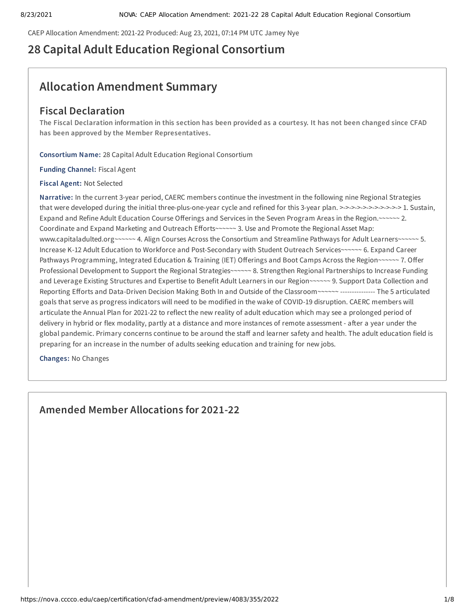CAEP Allocation Amendment: 2021-22 Produced: Aug 23, 2021, 07:14 PM UTC Jamey Nye

# **28 Capital Adult Education Regional Consortium**

# **Allocation Amendment Summary**

# **Fiscal Declaration**

The Fiscal Declaration information in this section has been provided as a courtesy. It has not been changed since CFAD **has been approved by the Member Representatives.**

**Consortium Name:** 28 Capital Adult Education Regional Consortium

**Funding Channel:** Fiscal Agent

**Fiscal Agent:** Not Selected

**Narrative:** In the current 3-year period, CAERC members continue the investment in the following nine Regional Strategies that were developed during the initial three-plus-one-year cycle and refined for this 3-year plan. >->->->->->->->->->-> 1. Sustain, Expand and Refine Adult Education Course Offerings and Services in the Seven Program Areas in the Region.~~~~~~ 2. Coordinate and Expand Marketing and Outreach Efforts~~~~~~ 3. Use and Promote the Regional Asset Map: www.capitaladulted.org~~~~~~ 4. Align Courses Across the Consortium and Streamline Pathways for Adult Learners~~~~~~ 5. Increase K-12 Adult Education to Workforce and Post-Secondary with Student Outreach Services~~~~~~ 6. Expand Career Pathways Programming, Integrated Education & Training (IET) Offerings and Boot Camps Across the Region~~~~~~ 7. Offer Professional Development to Support the Regional Strategies~~~~~~ 8. Strengthen Regional Partnerships to Increase Funding and Leverage Existing Structures and Expertise to Benefit Adult Learners in our Region~~~~~~ 9. Support Data Collection and Reporting Efforts and Data-Driven Decision Making Both In and Outside of the Classroom~~~~~~ --------------- The 5 articulated goals that serve as progress indicators will need to be modified in the wake of COVID-19 disruption. CAERC members will articulate the Annual Plan for 2021-22 to reflect the new reality of adult education which may see a prolonged period of delivery in hybrid or flex modality, partly at a distance and more instances of remote assessment - after a year under the global pandemic. Primary concerns continue to be around the staff and learner safety and health. The adult education field is preparing for an increase in the number of adults seeking education and training for new jobs.

**Changes:** No Changes

**Amended Member Allocations for 2021-22**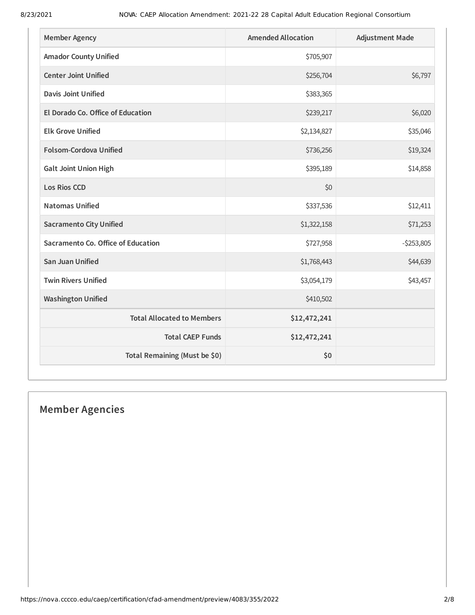| <b>Member Agency</b>               | <b>Amended Allocation</b> | <b>Adjustment Made</b> |
|------------------------------------|---------------------------|------------------------|
| <b>Amador County Unified</b>       | \$705,907                 |                        |
| <b>Center Joint Unified</b>        | \$256,704                 | \$6,797                |
| <b>Davis Joint Unified</b>         | \$383,365                 |                        |
| El Dorado Co. Office of Education  | \$239,217                 | \$6,020                |
| <b>Elk Grove Unified</b>           | \$2,134,827               | \$35,046               |
| Folsom-Cordova Unified             | \$736,256                 | \$19,324               |
| <b>Galt Joint Union High</b>       | \$395,189                 | \$14,858               |
| <b>Los Rios CCD</b>                | \$0                       |                        |
| <b>Natomas Unified</b>             | \$337,536                 | \$12,411               |
| <b>Sacramento City Unified</b>     | \$1,322,158               | \$71,253               |
| Sacramento Co. Office of Education | \$727,958                 | $-5253,805$            |
| <b>San Juan Unified</b>            | \$1,768,443               | \$44,639               |
| <b>Twin Rivers Unified</b>         | \$3,054,179               | \$43,457               |
| <b>Washington Unified</b>          | \$410,502                 |                        |
| <b>Total Allocated to Members</b>  | \$12,472,241              |                        |
| <b>Total CAEP Funds</b>            | \$12,472,241              |                        |
| Total Remaining (Must be \$0)      | \$0                       |                        |

# **Member Agencies**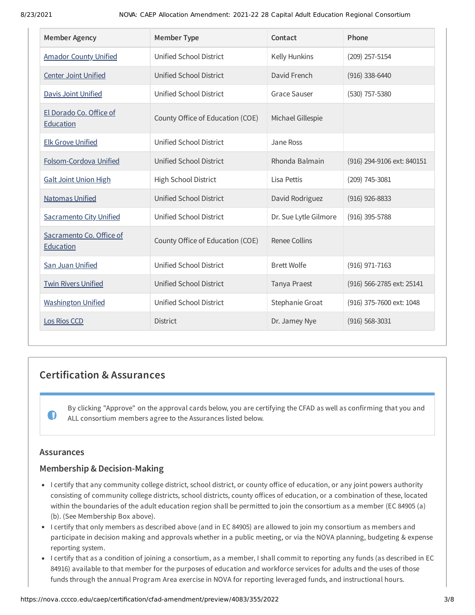| <b>Member Agency</b>                  | <b>Member Type</b>               | Contact               | Phone                      |
|---------------------------------------|----------------------------------|-----------------------|----------------------------|
| <b>Amador County Unified</b>          | Unified School District          | Kelly Hunkins         | (209) 257-5154             |
| <b>Center Joint Unified</b>           | Unified School District          | David French          | $(916)$ 338-6440           |
| <b>Davis Joint Unified</b>            | Unified School District          | <b>Grace Sauser</b>   | (530) 757-5380             |
| El Dorado Co. Office of<br>Education  | County Office of Education (COE) | Michael Gillespie     |                            |
| <b>Elk Grove Unified</b>              | Unified School District          | Jane Ross             |                            |
| Folsom-Cordova Unified                | Unified School District          | Rhonda Balmain        | (916) 294-9106 ext: 840151 |
| <b>Galt Joint Union High</b>          | High School District             | Lisa Pettis           | (209) 745-3081             |
| <b>Natomas Unified</b>                | Unified School District          | David Rodriguez       | $(916)$ 926-8833           |
| <b>Sacramento City Unified</b>        | Unified School District          | Dr. Sue Lytle Gilmore | (916) 395-5788             |
| Sacramento Co. Office of<br>Education | County Office of Education (COE) | Renee Collins         |                            |
| San Juan Unified                      | Unified School District          | <b>Brett Wolfe</b>    | (916) 971-7163             |
| <b>Twin Rivers Unified</b>            | <b>Unified School District</b>   | Tanya Praest          | (916) 566-2785 ext: 25141  |
| <b>Washington Unified</b>             | Unified School District          | Stephanie Groat       | (916) 375-7600 ext: 1048   |
| Los Rios CCD                          | <b>District</b>                  | Dr. Jamey Nye         | $(916) 568 - 3031$         |

# **Certification & Assurances**

By clicking "Approve" on the approval cards below, you are certifying the CFAD as well as confirming that you and ALL consortium members agree to the Assurances listed below.

# **Assurances**

 $\bullet$ 

# **Membership & Decision-Making**

- I certify that any community college district, school district, or county office of education, or any joint powers authority consisting of community college districts, school districts, county offices of education, or a combination of these, located within the boundaries of the adult education region shall be permitted to join the consortium as a member (EC 84905 (a) (b). (See Membership Box above).
- I certify that only members as described above (and in EC 84905) are allowed to join my consortium as members and participate in decision making and approvals whether in a public meeting, or via the NOVA planning, budgeting & expense reporting system.
- I certify that as a condition of joining a consortium, as a member, I shall commit to reporting any funds (as described in EC 84916) available to that member for the purposes of education and workforce services for adults and the uses of those funds through the annual Program Area exercise in NOVA for reporting leveraged funds, and instructional hours.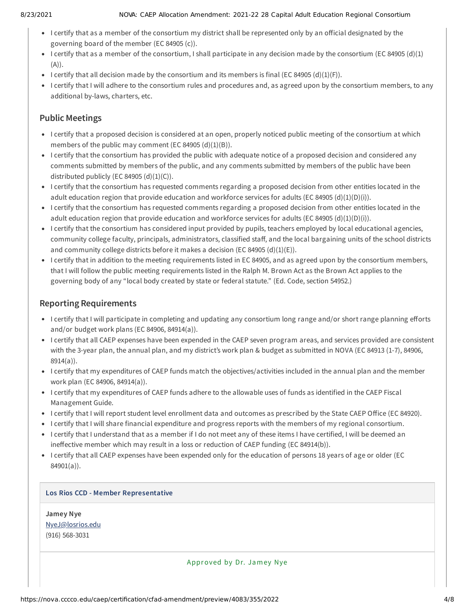#### 8/23/2021 NOVA: CAEP Allocation Amendment: 2021-22 28 Capital Adult Education Regional Consortium

- I certify that as a member of the consortium my district shall be represented only by an official designated by the governing board of the member (EC 84905 (c)).
- I certify that as a member of the consortium, I shall participate in any decision made by the consortium (EC 84905 (d)(1) (A)).
- I certify that all decision made by the consortium and its members is final (EC 84905 (d)(1)(F)).
- I certify that I will adhere to the consortium rules and procedures and, as agreed upon by the consortium members, to any additional by-laws, charters, etc.

# **Public Meetings**

- I certify that a proposed decision is considered at an open, properly noticed public meeting of the consortium at which members of the public may comment (EC 84905  $(d)(1)(B)$ ).
- I certify that the consortium has provided the public with adequate notice of a proposed decision and considered any comments submitted by members of the public, and any comments submitted by members of the public have been distributed publicly (EC 84905  $(d)(1)(C)$ ).
- I certify that the consortium has requested comments regarding a proposed decision from other entities located in the adult education region that provide education and workforce services for adults (EC 84905 (d)(1)(D)(i)).
- I certify that the consortium has requested comments regarding a proposed decision from other entities located in the adult education region that provide education and workforce services for adults (EC 84905 (d)(1)(D)(i)).
- I certify that the consortium has considered input provided by pupils, teachers employed by local educational agencies, community college faculty, principals, administrators, classified staff, and the local bargaining units of the school districts and community college districts before it makes a decision (EC 84905  $(d)(1)(E)$ ).
- I certify that in addition to the meeting requirements listed in EC 84905, and as agreed upon by the consortium members, that I will follow the public meeting requirements listed in the Ralph M. Brown Act as the Brown Act applies to the governing body of any "local body created by state or federal statute." (Ed. Code, section 54952.)

# **Reporting Requirements**

- I certify that I will participate in completing and updating any consortium long range and/or short range planning efforts and/or budget work plans (EC 84906, 84914(a)).
- I certify that all CAEP expenses have been expended in the CAEP seven program areas, and services provided are consistent with the 3-year plan, the annual plan, and my district's work plan & budget as submitted in NOVA (EC 84913 (1-7), 84906, 8914(a)).
- I certify that my expenditures of CAEP funds match the objectives/activities included in the annual plan and the member work plan (EC 84906, 84914(a)).
- I certify that my expenditures of CAEP funds adhere to the allowable uses of funds as identified in the CAEP Fiscal Management Guide.
- I certify that I will report student level enrollment data and outcomes as prescribed by the State CAEP Office (EC 84920).
- I certify that I will share financial expenditure and progress reports with the members of my regional consortium.
- I certify that I understand that as a member if I do not meet any of these items I have certified, I will be deemed an ineffective member which may result in a loss or reduction of CAEP funding (EC 84914(b)).
- I certify that all CAEP expenses have been expended only for the education of persons 18 years of age or older (EC 84901(a)).

# **Los Rios CCD - Member Representative**

**Jamey Nye** [NyeJ@losrios.edu](mailto:NyeJ@losrios.edu) (916) 568-3031

Approved by Dr. Jamey Nye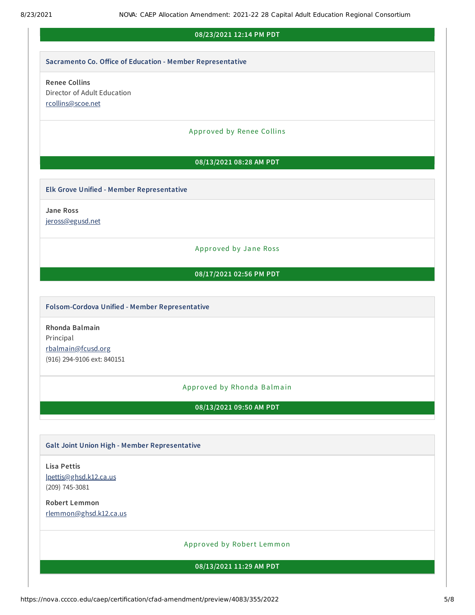# **08/23/2021 12:14 PM PDT**

#### **Sacramento Co. Office of Education - Member Representative**

# **Renee Collins** Director of Adult Education [rcollins@scoe.net](mailto:rcollins@scoe.net)

#### Approved by Renee Collins

# **08/13/2021 08:28 AM PDT**

#### **Elk Grove Unified - Member Representative**

**Jane Ross**

[jeross@egusd.net](mailto:jeross@egusd.net)

# Approved by Jane Ross

## **08/17/2021 02:56 PM PDT**

## **Folsom-Cordova Unified - Member Representative**

**Rhonda Balmain** Principal [rbalmain@fcusd.org](mailto:rbalmain@fcusd.org) (916) 294-9106 ext: 840151

#### Approved by Rhonda Balmain

**08/13/2021 09:50 AM PDT**

# **Galt Joint Union High - Member Representative**

**Lisa Pettis** [lpettis@ghsd.k12.ca.us](mailto:lpettis@ghsd.k12.ca.us) (209) 745-3081

**Robert Lemmon** [rlemmon@ghsd.k12.ca.us](mailto:rlemmon@ghsd.k12.ca.us)

# Approved by Robert Lemmon

**08/13/2021 11:29 AM PDT**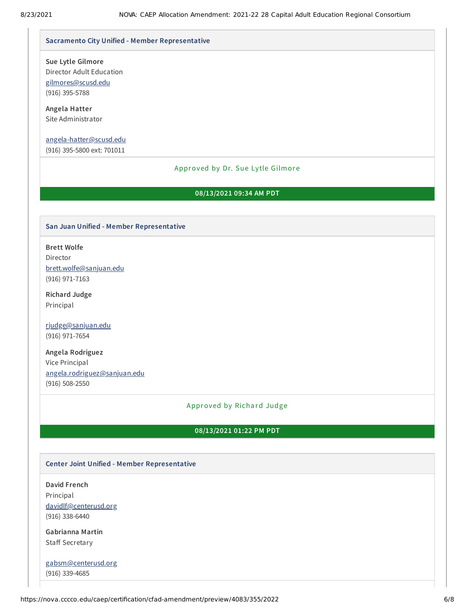#### **Sacramento City Unified - Member Representative**

**Sue Lytle Gilmore**

Director Adult Education [gilmores@scusd.edu](mailto:gilmores@scusd.edu) (916) 395-5788

**Angela Hatter** Site Administrator

## [angela-hatter@scusd.edu](mailto:angela-hatter@scusd.edu)

(916) 395-5800 ext: 701011

#### Approved by Dr. Sue Lytle Gilmore

# **08/13/2021 09:34 AM PDT**

## **San Juan Unified - Member Representative**

**Brett Wolfe** Director [brett.wolfe@sanjuan.edu](mailto:brett.wolfe@sanjuan.edu) (916) 971-7163

**Richard Judge** Principal

[rjudge@sanjuan.edu](mailto:rjudge@sanjuan.edu) (916) 971-7654

**Angela Rodriguez** Vice Principal [angela.rodriguez@sanjuan.edu](mailto:angela.rodriguez@sanjuan.edu) (916) 508-2550

#### Approved by Richard Judge

## **08/13/2021 01:22 PM PDT**

#### **Center Joint Unified - Member Representative**

**David French** Principal [davidlf@centerusd.org](mailto:davidlf@centerusd.org) (916) 338-6440

**Gabrianna Martin** Staff Secretary

[gabsm@centerusd.org](mailto:gabsm@centerusd.org) (916) 339-4685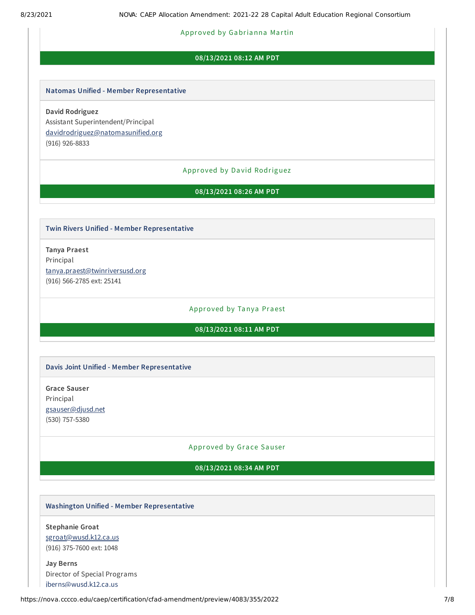### Approved by Gabrianna Martin

# **08/13/2021 08:12 AM PDT**

#### **Natomas Unified - Member Representative**

**David Rodriguez** Assistant Superintendent/Principal [davidrodriguez@natomasunified.org](mailto:davidrodriguez@natomasunified.org) (916) 926-8833

### Approved by Da vid Rodriguez

**08/13/2021 08:26 AM PDT**

#### **Twin Rivers Unified - Member Representative**

**Tanya Praest** Principal [tanya.praest@twinriversusd.org](mailto:tanya.praest@twinriversusd.org) (916) 566-2785 ext: 25141

#### Approved by Tanya Praest

# **08/13/2021 08:11 AM PDT**

#### **Davis Joint Unified - Member Representative**

**Grace Sauser** Principal [gsauser@djusd.net](mailto:gsauser@djusd.net) (530) 757-5380

# Approved by Grace Sauser

# **08/13/2021 08:34 AM PDT**

# **Washington Unified - Member Representative**

**Stephanie Groat** [sgroat@wusd.k12.ca.us](mailto:sgroat@wusd.k12.ca.us) (916) 375-7600 ext: 1048

**Jay Berns** Director of Special Programs [jberns@wusd.k12.ca.us](mailto:jberns@wusd.k12.ca.us)